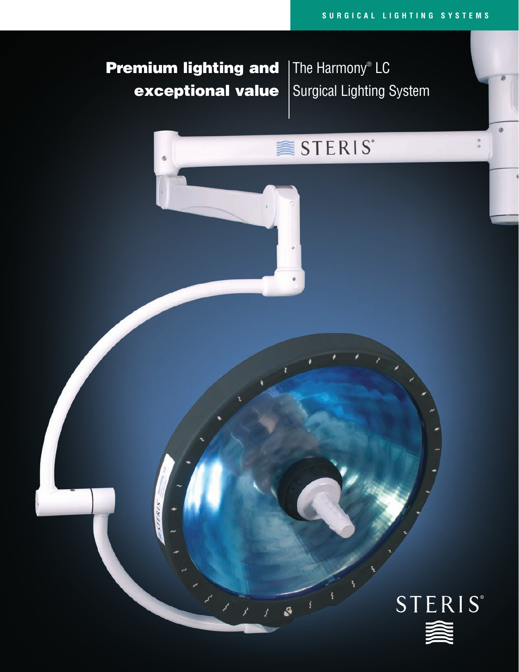# Premium lighting and exceptional value

 $\Phi$ 

The Harmony® LC Surgical Lighting System

# STERIS<sup>\*</sup>

S

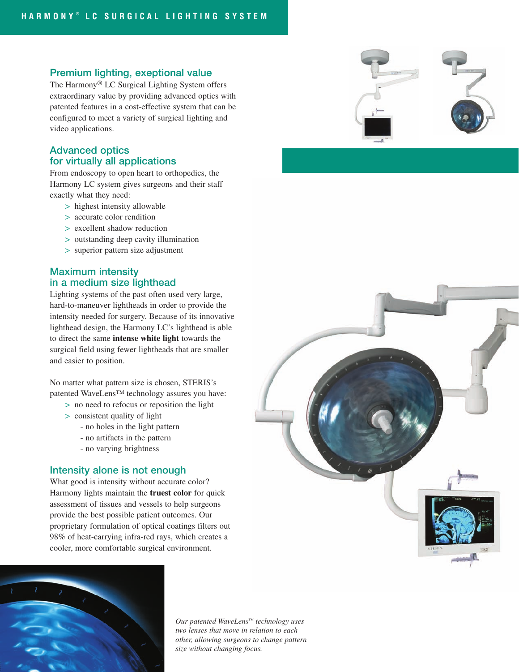#### Premium lighting, exeptional value

The Harmony® LC Surgical Lighting System offers extraordinary value by providing advanced optics with patented features in a cost-effective system that can be configured to meet a variety of surgical lighting and video applications.

#### Advanced optics for virtually all applications

From endoscopy to open heart to orthopedics, the Harmony LC system gives surgeons and their staff exactly what they need:

- > highest intensity allowable
- > accurate color rendition
- > excellent shadow reduction
- > outstanding deep cavity illumination
- > superior pattern size adjustment

# Maximum intensity in a medium size lighthead

Lighting systems of the past often used very large, hard-to-maneuver lightheads in order to provide the intensity needed for surgery. Because of its innovative lighthead design, the Harmony LC's lighthead is able to direct the same **intense white light** towards the surgical field using fewer lightheads that are smaller and easier to position.

No matter what pattern size is chosen, STERIS's patented WaveLens™ technology assures you have:

- > no need to refocus or reposition the light
- > consistent quality of light
	- no holes in the light pattern
	- no artifacts in the pattern
	- no varying brightness

#### Intensity alone is not enough

What good is intensity without accurate color? Harmony lights maintain the **truest color** for quick assessment of tissues and vessels to help surgeons provide the best possible patient outcomes. Our proprietary formulation of optical coatings filters out 98% of heat-carrying infra-red rays, which creates a cooler, more comfortable surgical environment.



*Our patented WaveLens™ technology uses two lenses that move in relation to each other, allowing surgeons to change pattern size without changing focus.*



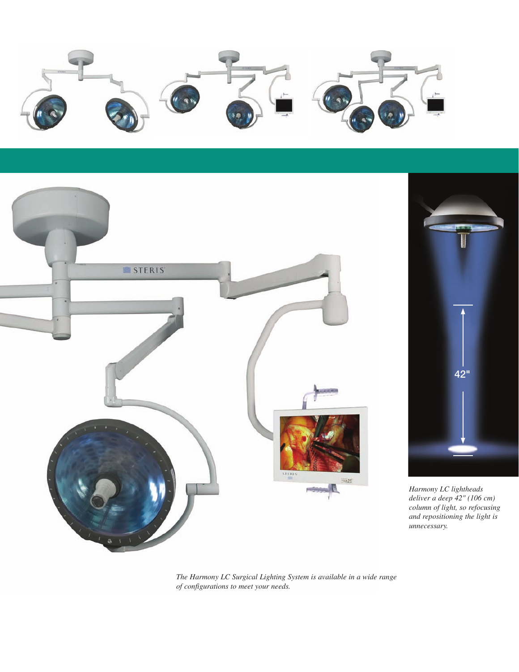



*The Harmony LC Surgical Lighting System is available in a wide range of configurations to meet your needs.*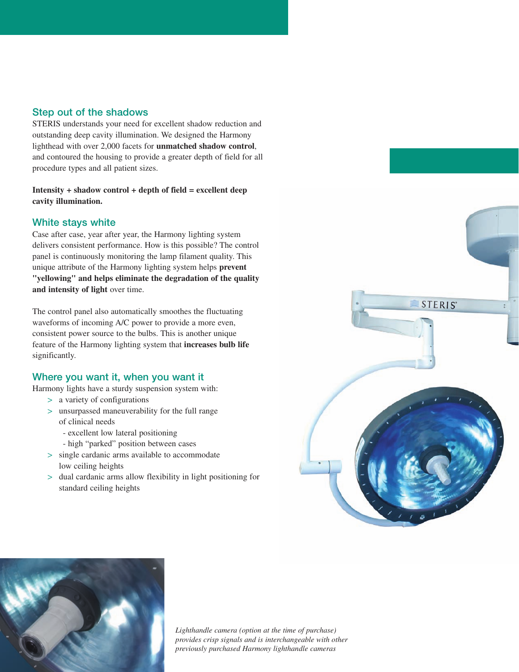# Step out of the shadows

STERIS understands your need for excellent shadow reduction and outstanding deep cavity illumination. We designed the Harmony lighthead with over 2,000 facets for **unmatched shadow control**, and contoured the housing to provide a greater depth of field for all procedure types and all patient sizes.

**Intensity + shadow control + depth of field = excellent deep cavity illumination.**

#### White stays white

Case after case, year after year, the Harmony lighting system delivers consistent performance. How is this possible? The control panel is continuously monitoring the lamp filament quality. This unique attribute of the Harmony lighting system helps **prevent "yellowing" and helps eliminate the degradation of the quality and intensity of light** over time.

The control panel also automatically smoothes the fluctuating waveforms of incoming A/C power to provide a more even, consistent power source to the bulbs. This is another unique feature of the Harmony lighting system that **increases bulb life** significantly.

#### Where you want it, when you want it

- Harmony lights have a sturdy suspension system with:
	- > a variety of configurations
	- > unsurpassed maneuverability for the full range of clinical needs
		- excellent low lateral positioning
		- high "parked" position between cases
	- > single cardanic arms available to accommodate low ceiling heights
	- > dual cardanic arms allow flexibility in light positioning for standard ceiling heights





*Lighthandle camera (option at the time of purchase) provides crisp signals and is interchangeable with other previously purchased Harmony lighthandle cameras*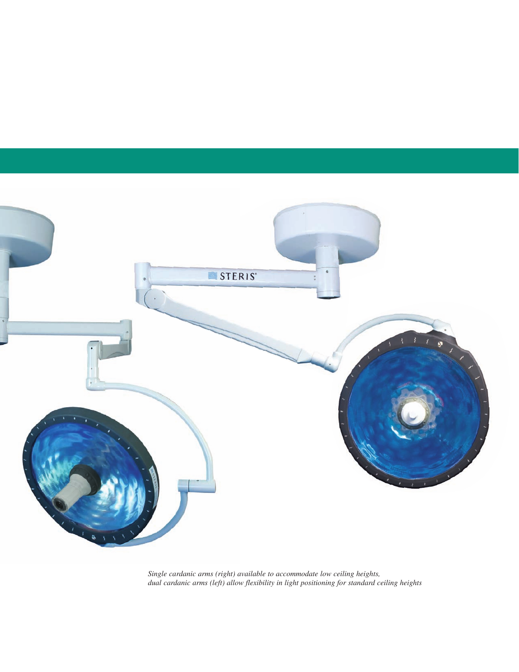

*Single cardanic arms (right) available to accommodate low ceiling heights, dual cardanic arms (left) allow flexibility in light positioning for standard ceiling heights*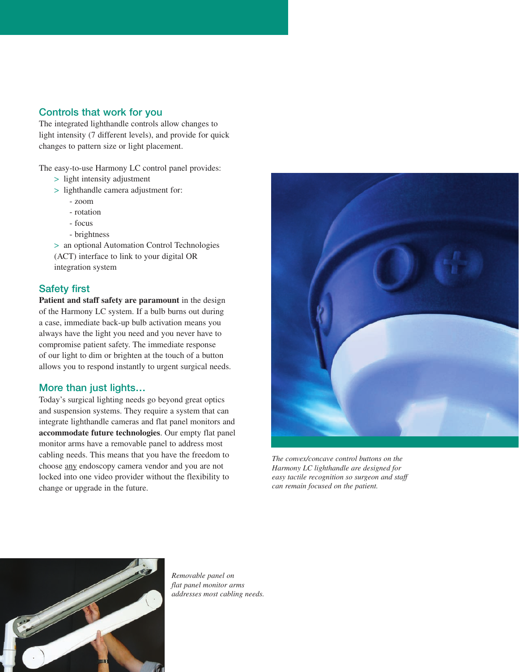# Controls that work for you

The integrated lighthandle controls allow changes to light intensity (7 different levels), and provide for quick changes to pattern size or light placement.

The easy-to-use Harmony LC control panel provides:

- > light intensity adjustment
- > lighthandle camera adjustment for:
	- zoom
	- rotation
	- focus
	- brightness

> an optional Automation Control Technologies (ACT) interface to link to your digital OR integration system

#### Safety first

**Patient and staff safety are paramount** in the design of the Harmony LC system. If a bulb burns out during a case, immediate back-up bulb activation means you always have the light you need and you never have to compromise patient safety. The immediate response of our light to dim or brighten at the touch of a button allows you to respond instantly to urgent surgical needs.

## More than just lights…

Today's surgical lighting needs go beyond great optics and suspension systems. They require a system that can integrate lighthandle cameras and flat panel monitors and **accommodate future technologies**. Our empty flat panel monitor arms have a removable panel to address most cabling needs. This means that you have the freedom to choose any endoscopy camera vendor and you are not locked into one video provider without the flexibility to change or upgrade in the future.



*The convex/concave control buttons on the Harmony LC lighthandle are designed for easy tactile recognition so surgeon and staff can remain focused on the patient.*



*Removable panel on flat panel monitor arms addresses most cabling needs.*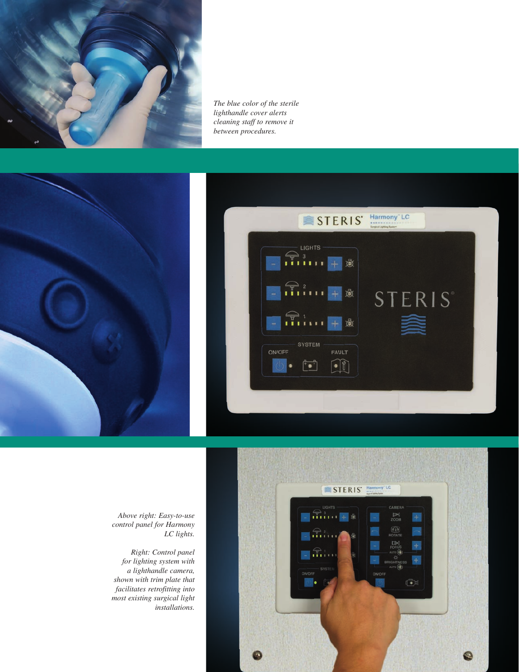

*The blue color of the sterile lighthandle cover alerts cleaning staff to remove it between procedures.*







*Above right: Easy-to-use control panel for Harmony LC lights.*

*Right: Control panel for lighting system with a lighthandle camera, shown with trim plate that facilitates retrofitting into most existing surgical light installations.*